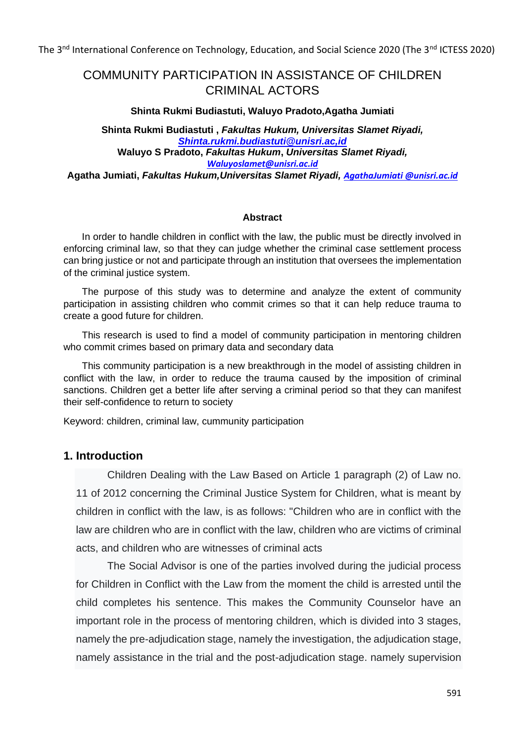# COMMUNITY PARTICIPATION IN ASSISTANCE OF CHILDREN CRIMINAL ACTORS

#### **Shinta Rukmi Budiastuti, Waluyo Pradoto,Agatha Jumiati**

**Shinta Rukmi Budiastuti ,** *Fakultas Hukum, Universitas Slamet Riyadi, [Shinta.rukmi.budiastuti@unisri.ac,id](mailto:Shinta.rukmi.budiastuti@unisri.ac,id)* **Waluyo S Pradoto,** *Fakultas Hukum***,** *Universitas Slamet Riyadi, [Waluyoslamet@unisri.ac.id](mailto:Waluyoslamet@unisri.ac.id)* **Agatha Jumiati,** *Fakultas Hukum,Universitas Slamet Riyadi, [AgathaJumiati @unisri.ac.id](mailto:Santosobudi@unisri.ac.id)*

#### **Abstract**

In order to handle children in conflict with the law, the public must be directly involved in enforcing criminal law, so that they can judge whether the criminal case settlement process can bring justice or not and participate through an institution that oversees the implementation of the criminal justice system.

The purpose of this study was to determine and analyze the extent of community participation in assisting children who commit crimes so that it can help reduce trauma to create a good future for children.

This research is used to find a model of community participation in mentoring children who commit crimes based on primary data and secondary data

This community participation is a new breakthrough in the model of assisting children in conflict with the law, in order to reduce the trauma caused by the imposition of criminal sanctions. Children get a better life after serving a criminal period so that they can manifest their self-confidence to return to society

Keyword: children, criminal law, cummunity participation

# **1. Introduction**

Children Dealing with the Law Based on Article 1 paragraph (2) of Law no. 11 of 2012 concerning the Criminal Justice System for Children, what is meant by children in conflict with the law, is as follows: "Children who are in conflict with the law are children who are in conflict with the law, children who are victims of criminal acts, and children who are witnesses of criminal acts

The Social Advisor is one of the parties involved during the judicial process for Children in Conflict with the Law from the moment the child is arrested until the child completes his sentence. This makes the Community Counselor have an important role in the process of mentoring children, which is divided into 3 stages, namely the pre-adjudication stage, namely the investigation, the adjudication stage, namely assistance in the trial and the post-adjudication stage. namely supervision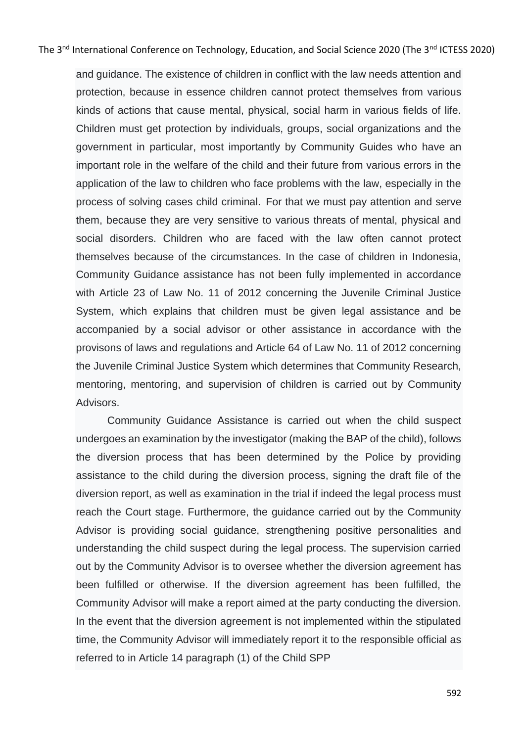and guidance. The existence of children in conflict with the law needs attention and protection, because in essence children cannot protect themselves from various kinds of actions that cause mental, physical, social harm in various fields of life. Children must get protection by individuals, groups, social organizations and the government in particular, most importantly by Community Guides who have an important role in the welfare of the child and their future from various errors in the application of the law to children who face problems with the law, especially in the process of solving cases child criminal. For that we must pay attention and serve them, because they are very sensitive to various threats of mental, physical and social disorders. Children who are faced with the law often cannot protect themselves because of the circumstances. In the case of children in Indonesia, Community Guidance assistance has not been fully implemented in accordance with Article 23 of Law No. 11 of 2012 concerning the Juvenile Criminal Justice System, which explains that children must be given legal assistance and be accompanied by a social advisor or other assistance in accordance with the provisons of laws and regulations and Article 64 of Law No. 11 of 2012 concerning the Juvenile Criminal Justice System which determines that Community Research, mentoring, mentoring, and supervision of children is carried out by Community Advisors.

Community Guidance Assistance is carried out when the child suspect undergoes an examination by the investigator (making the BAP of the child), follows the diversion process that has been determined by the Police by providing assistance to the child during the diversion process, signing the draft file of the diversion report, as well as examination in the trial if indeed the legal process must reach the Court stage. Furthermore, the guidance carried out by the Community Advisor is providing social guidance, strengthening positive personalities and understanding the child suspect during the legal process. The supervision carried out by the Community Advisor is to oversee whether the diversion agreement has been fulfilled or otherwise. If the diversion agreement has been fulfilled, the Community Advisor will make a report aimed at the party conducting the diversion. In the event that the diversion agreement is not implemented within the stipulated time, the Community Advisor will immediately report it to the responsible official as referred to in Article 14 paragraph (1) of the Child SPP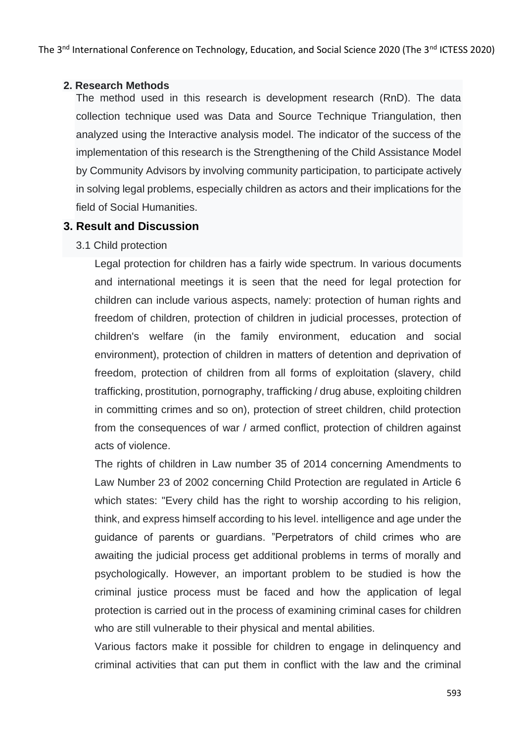#### **2. Research Methods**

The method used in this research is development research (RnD). The data collection technique used was Data and Source Technique Triangulation, then analyzed using the Interactive analysis model. The indicator of the success of the implementation of this research is the Strengthening of the Child Assistance Model by Community Advisors by involving community participation, to participate actively in solving legal problems, especially children as actors and their implications for the field of Social Humanities.

# **3. Result and Discussion**

### 3.1 Child protection

Legal protection for children has a fairly wide spectrum. In various documents and international meetings it is seen that the need for legal protection for children can include various aspects, namely: protection of human rights and freedom of children, protection of children in judicial processes, protection of children's welfare (in the family environment, education and social environment), protection of children in matters of detention and deprivation of freedom, protection of children from all forms of exploitation (slavery, child trafficking, prostitution, pornography, trafficking / drug abuse, exploiting children in committing crimes and so on), protection of street children, child protection from the consequences of war / armed conflict, protection of children against acts of violence.

The rights of children in Law number 35 of 2014 concerning Amendments to Law Number 23 of 2002 concerning Child Protection are regulated in Article 6 which states: "Every child has the right to worship according to his religion, think, and express himself according to his level. intelligence and age under the guidance of parents or guardians. "Perpetrators of child crimes who are awaiting the judicial process get additional problems in terms of morally and psychologically. However, an important problem to be studied is how the criminal justice process must be faced and how the application of legal protection is carried out in the process of examining criminal cases for children who are still vulnerable to their physical and mental abilities.

Various factors make it possible for children to engage in delinquency and criminal activities that can put them in conflict with the law and the criminal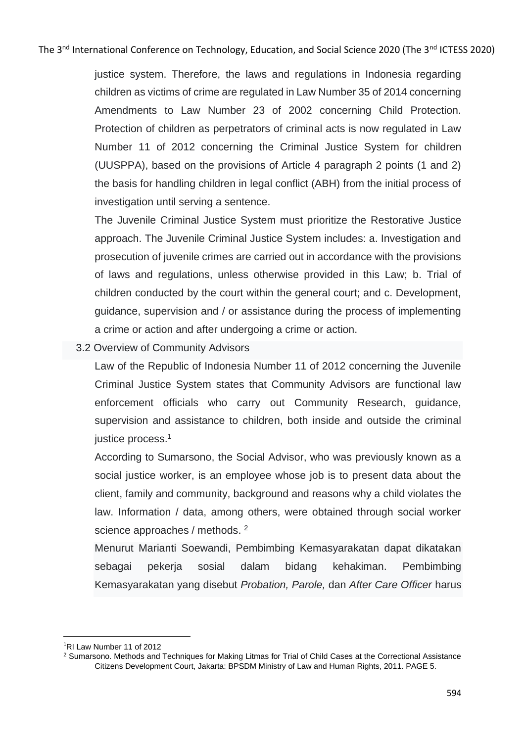justice system. Therefore, the laws and regulations in Indonesia regarding children as victims of crime are regulated in Law Number 35 of 2014 concerning Amendments to Law Number 23 of 2002 concerning Child Protection. Protection of children as perpetrators of criminal acts is now regulated in Law Number 11 of 2012 concerning the Criminal Justice System for children (UUSPPA), based on the provisions of Article 4 paragraph 2 points (1 and 2) the basis for handling children in legal conflict (ABH) from the initial process of investigation until serving a sentence.

The Juvenile Criminal Justice System must prioritize the Restorative Justice approach. The Juvenile Criminal Justice System includes: a. Investigation and prosecution of juvenile crimes are carried out in accordance with the provisions of laws and regulations, unless otherwise provided in this Law; b. Trial of children conducted by the court within the general court; and c. Development, guidance, supervision and / or assistance during the process of implementing a crime or action and after undergoing a crime or action.

### 3.2 Overview of Community Advisors

Law of the Republic of Indonesia Number 11 of 2012 concerning the Juvenile Criminal Justice System states that Community Advisors are functional law enforcement officials who carry out Community Research, guidance, supervision and assistance to children, both inside and outside the criminal justice process.<sup>1</sup>

According to Sumarsono, the Social Advisor, who was previously known as a social justice worker, is an employee whose job is to present data about the client, family and community, background and reasons why a child violates the law. Information / data, among others, were obtained through social worker science approaches / methods. <sup>2</sup>

Menurut Marianti Soewandi, Pembimbing Kemasyarakatan dapat dikatakan sebagai pekerja sosial dalam bidang kehakiman. Pembimbing Kemasyarakatan yang disebut *Probation, Parole,* dan *After Care Officer* harus

<sup>1</sup>RI Law Number 11 of 2012

<sup>2</sup> Sumarsono. Methods and Techniques for Making Litmas for Trial of Child Cases at the Correctional Assistance Citizens Development Court, Jakarta: BPSDM Ministry of Law and Human Rights, 2011. PAGE 5.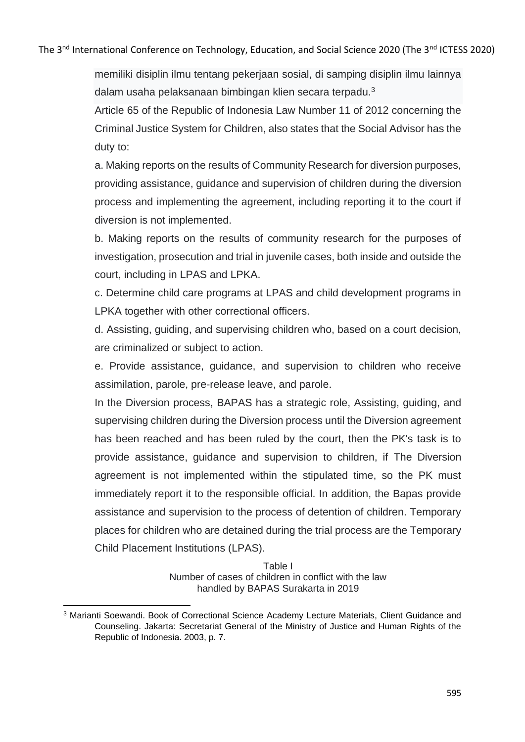memiliki disiplin ilmu tentang pekerjaan sosial, di samping disiplin ilmu lainnya dalam usaha pelaksanaan bimbingan klien secara terpadu.<sup>3</sup>

Article 65 of the Republic of Indonesia Law Number 11 of 2012 concerning the Criminal Justice System for Children, also states that the Social Advisor has the duty to:

a. Making reports on the results of Community Research for diversion purposes, providing assistance, guidance and supervision of children during the diversion process and implementing the agreement, including reporting it to the court if diversion is not implemented.

b. Making reports on the results of community research for the purposes of investigation, prosecution and trial in juvenile cases, both inside and outside the court, including in LPAS and LPKA.

c. Determine child care programs at LPAS and child development programs in LPKA together with other correctional officers.

d. Assisting, guiding, and supervising children who, based on a court decision, are criminalized or subject to action.

e. Provide assistance, guidance, and supervision to children who receive assimilation, parole, pre-release leave, and parole.

In the Diversion process, BAPAS has a strategic role, Assisting, guiding, and supervising children during the Diversion process until the Diversion agreement has been reached and has been ruled by the court, then the PK's task is to provide assistance, guidance and supervision to children, if The Diversion agreement is not implemented within the stipulated time, so the PK must immediately report it to the responsible official. In addition, the Bapas provide assistance and supervision to the process of detention of children. Temporary places for children who are detained during the trial process are the Temporary Child Placement Institutions (LPAS).

> Table I Number of cases of children in conflict with the law handled by BAPAS Surakarta in 2019

<sup>&</sup>lt;sup>3</sup> Marianti Soewandi. Book of Correctional Science Academy Lecture Materials, Client Guidance and Counseling. Jakarta: Secretariat General of the Ministry of Justice and Human Rights of the Republic of Indonesia. 2003, p. 7.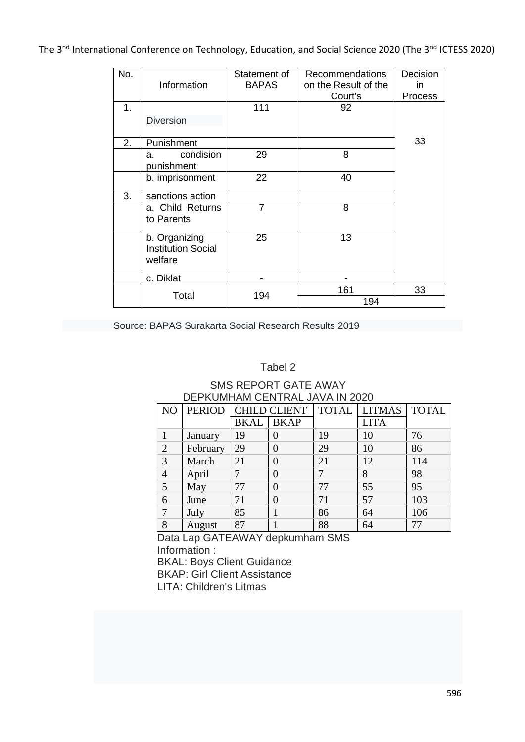| No. | Information                                           | Statement of<br><b>BAPAS</b> | <b>Recommendations</b><br>on the Result of the | Decision<br>in |
|-----|-------------------------------------------------------|------------------------------|------------------------------------------------|----------------|
|     |                                                       |                              | Court's                                        | Process        |
| 1.  |                                                       | 111                          | 92                                             |                |
|     | <b>Diversion</b>                                      |                              |                                                |                |
| 2.  | Punishment                                            |                              |                                                | 33             |
|     | condision<br>a.<br>punishment                         | 29                           | 8                                              |                |
|     | b. imprisonment                                       | 22                           | 40                                             |                |
| 3.  | sanctions action                                      |                              |                                                |                |
|     | a. Child Returns<br>to Parents                        | 7                            | 8                                              |                |
|     | b. Organizing<br><b>Institution Social</b><br>welfare | 25                           | 13                                             |                |
|     | c. Diklat                                             |                              |                                                |                |
|     | Total                                                 | 194                          | 161                                            | 33             |
|     |                                                       |                              | 194                                            |                |

Source: BAPAS Surakarta Social Research Results 2019

#### Tabel 2

## SMS REPORT GATE AWAY DEPKUMHAM CENTRAL JAVA IN 2020

| N <sub>O</sub> | <b>PERIOD</b> | <b>CHILD CLIENT</b> |                | <b>TOTAL</b> | <b>LITMAS</b> | <b>TOTAL</b> |
|----------------|---------------|---------------------|----------------|--------------|---------------|--------------|
|                |               | <b>BKAL</b>         | <b>BKAP</b>    |              | <b>LITA</b>   |              |
|                | January       | 19                  | 0              | 19           | 10            | 76           |
| $\overline{2}$ | February      | 29                  | 0              | 29           | 10            | 86           |
| 3              | March         | 21                  | $\overline{0}$ | 21           | 12            | 114          |
| $\overline{4}$ | April         | 7                   | 0              |              | 8             | 98           |
| 5              | May           | 77                  | $\overline{0}$ | 77           | 55            | 95           |
| 6              | June          | 71                  | $\overline{0}$ | 71           | 57            | 103          |
| 7              | July          | 85                  |                | 86           | 64            | 106          |
| 8              | August        | 87                  |                | 88           | 64            | 77           |

Data Lap GATEAWAY depkumham SMS Information :

BKAL: Boys Client Guidance

BKAP: Girl Client Assistance

LITA: Children's Litmas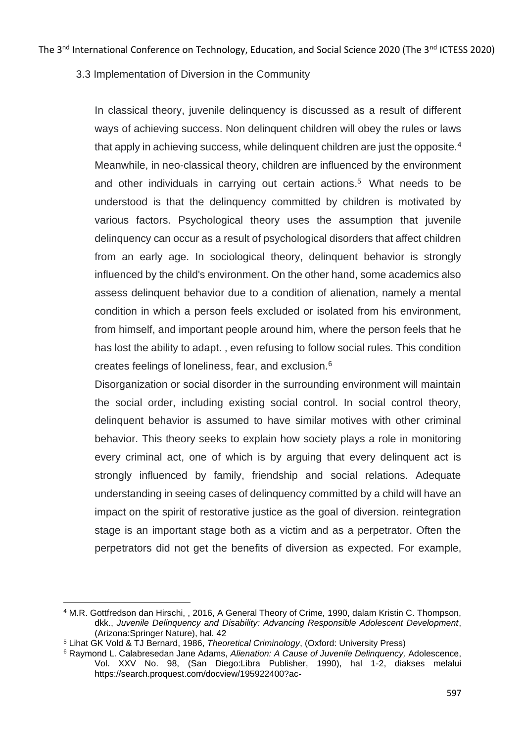3.3 Implementation of Diversion in the Community

In classical theory, juvenile delinquency is discussed as a result of different ways of achieving success. Non delinquent children will obey the rules or laws that apply in achieving success, while delinquent children are just the opposite.<sup>4</sup> Meanwhile, in neo-classical theory, children are influenced by the environment and other individuals in carrying out certain actions. <sup>5</sup> What needs to be understood is that the delinquency committed by children is motivated by various factors. Psychological theory uses the assumption that juvenile delinquency can occur as a result of psychological disorders that affect children from an early age. In sociological theory, delinquent behavior is strongly influenced by the child's environment. On the other hand, some academics also assess delinquent behavior due to a condition of alienation, namely a mental condition in which a person feels excluded or isolated from his environment, from himself, and important people around him, where the person feels that he has lost the ability to adapt. , even refusing to follow social rules. This condition creates feelings of loneliness, fear, and exclusion.<sup>6</sup>

Disorganization or social disorder in the surrounding environment will maintain the social order, including existing social control. In social control theory, delinquent behavior is assumed to have similar motives with other criminal behavior. This theory seeks to explain how society plays a role in monitoring every criminal act, one of which is by arguing that every delinquent act is strongly influenced by family, friendship and social relations. Adequate understanding in seeing cases of delinquency committed by a child will have an impact on the spirit of restorative justice as the goal of diversion. reintegration stage is an important stage both as a victim and as a perpetrator. Often the perpetrators did not get the benefits of diversion as expected. For example,

<sup>4</sup> M.R. Gottfredson dan Hirschi, , 2016, A General Theory of Crime*,* 1990, dalam Kristin C. Thompson, dkk., *Juvenile Delinquency and Disability: Advancing Responsible Adolescent Development*, (Arizona:Springer Nature), hal. 42

<sup>5</sup> Lihat GK Vold & TJ Bernard, 1986, *Theoretical Criminology*, (Oxford: University Press)

<sup>6</sup> Raymond L. Calabresedan Jane Adams, *Alienation: A Cause of Juvenile Delinquency,* Adolescence, Vol. XXV No. 98, (San Diego:Libra Publisher, 1990), hal 1-2, diakses melalui https://search.proquest.com/docview/195922400?ac-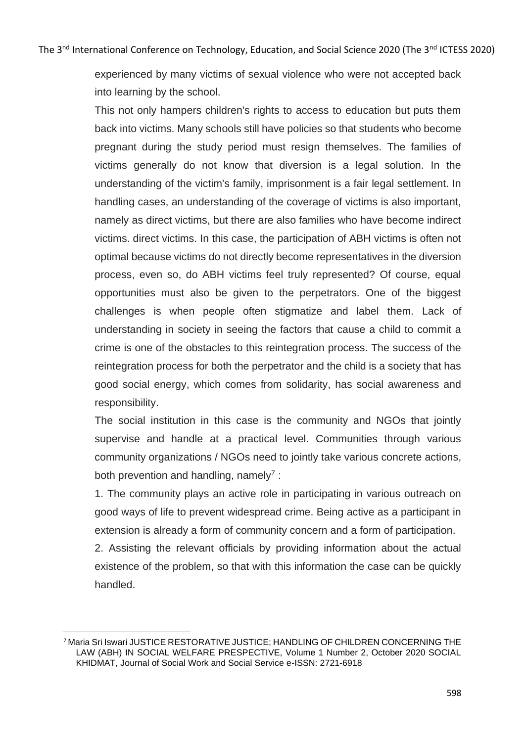experienced by many victims of sexual violence who were not accepted back into learning by the school.

This not only hampers children's rights to access to education but puts them back into victims. Many schools still have policies so that students who become pregnant during the study period must resign themselves. The families of victims generally do not know that diversion is a legal solution. In the understanding of the victim's family, imprisonment is a fair legal settlement. In handling cases, an understanding of the coverage of victims is also important, namely as direct victims, but there are also families who have become indirect victims. direct victims. In this case, the participation of ABH victims is often not optimal because victims do not directly become representatives in the diversion process, even so, do ABH victims feel truly represented? Of course, equal opportunities must also be given to the perpetrators. One of the biggest challenges is when people often stigmatize and label them. Lack of understanding in society in seeing the factors that cause a child to commit a crime is one of the obstacles to this reintegration process. The success of the reintegration process for both the perpetrator and the child is a society that has good social energy, which comes from solidarity, has social awareness and responsibility.

The social institution in this case is the community and NGOs that jointly supervise and handle at a practical level. Communities through various community organizations / NGOs need to jointly take various concrete actions, both prevention and handling, namely<sup>7</sup>:

1. The community plays an active role in participating in various outreach on good ways of life to prevent widespread crime. Being active as a participant in extension is already a form of community concern and a form of participation.

2. Assisting the relevant officials by providing information about the actual existence of the problem, so that with this information the case can be quickly handled.

<sup>7</sup> Maria Sri Iswari JUSTICE RESTORATIVE JUSTICE; HANDLING OF CHILDREN CONCERNING THE LAW (ABH) IN SOCIAL WELFARE PRESPECTIVE, Volume 1 Number 2, October 2020 SOCIAL KHIDMAT, Journal of Social Work and Social Service e-ISSN: 2721-6918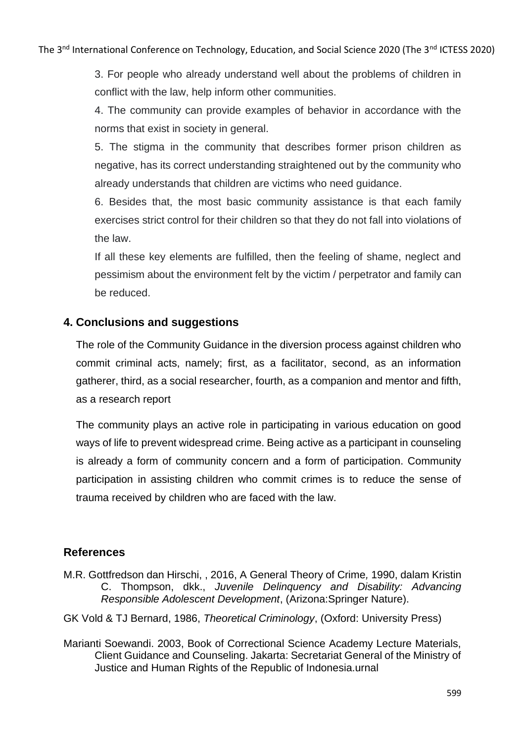3. For people who already understand well about the problems of children in conflict with the law, help inform other communities.

4. The community can provide examples of behavior in accordance with the norms that exist in society in general.

5. The stigma in the community that describes former prison children as negative, has its correct understanding straightened out by the community who already understands that children are victims who need guidance.

6. Besides that, the most basic community assistance is that each family exercises strict control for their children so that they do not fall into violations of the law.

If all these key elements are fulfilled, then the feeling of shame, neglect and pessimism about the environment felt by the victim / perpetrator and family can be reduced.

# **4. Conclusions and suggestions**

The role of the Community Guidance in the diversion process against children who commit criminal acts, namely; first, as a facilitator, second, as an information gatherer, third, as a social researcher, fourth, as a companion and mentor and fifth, as a research report

The community plays an active role in participating in various education on good ways of life to prevent widespread crime. Being active as a participant in counseling is already a form of community concern and a form of participation. Community participation in assisting children who commit crimes is to reduce the sense of trauma received by children who are faced with the law.

# **References**

- M.R. Gottfredson dan Hirschi, , 2016, A General Theory of Crime*,* 1990, dalam Kristin C. Thompson, dkk., *Juvenile Delinquency and Disability: Advancing Responsible Adolescent Development*, (Arizona:Springer Nature).
- GK Vold & TJ Bernard, 1986, *Theoretical Criminology*, (Oxford: University Press)
- Marianti Soewandi. 2003, Book of Correctional Science Academy Lecture Materials, Client Guidance and Counseling. Jakarta: Secretariat General of the Ministry of Justice and Human Rights of the Republic of Indonesia.urnal